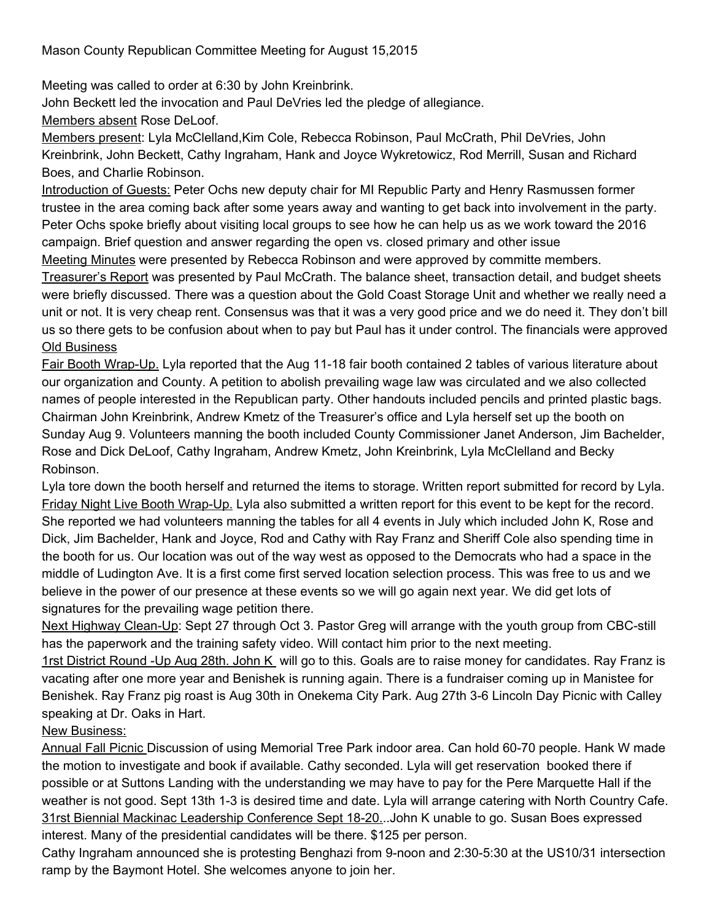Meeting was called to order at 6:30 by John Kreinbrink.

John Beckett led the invocation and Paul DeVries led the pledge of allegiance.

Members absent Rose DeLoof.

Members present: Lyla McClelland,Kim Cole, Rebecca Robinson, Paul McCrath, Phil DeVries, John Kreinbrink, John Beckett, Cathy Ingraham, Hank and Joyce Wykretowicz, Rod Merrill, Susan and Richard Boes, and Charlie Robinson.

Introduction of Guests: Peter Ochs new deputy chair for MI Republic Party and Henry Rasmussen former trustee in the area coming back after some years away and wanting to get back into involvement in the party. Peter Ochs spoke briefly about visiting local groups to see how he can help us as we work toward the 2016 campaign. Brief question and answer regarding the open vs. closed primary and other issue Meeting Minutes were presented by Rebecca Robinson and were approved by committe members.

Treasurer's Report was presented by Paul McCrath. The balance sheet, transaction detail, and budget sheets were briefly discussed. There was a question about the Gold Coast Storage Unit and whether we really need a unit or not. It is very cheap rent. Consensus was that it was a very good price and we do need it. They don't bill us so there gets to be confusion about when to pay but Paul has it under control. The financials were approved Old Business

Fair Booth Wrap-Up. Lyla reported that the Aug 11-18 fair booth contained 2 tables of various literature about our organization and County. A petition to abolish prevailing wage law was circulated and we also collected names of people interested in the Republican party. Other handouts included pencils and printed plastic bags. Chairman John Kreinbrink, Andrew Kmetz of the Treasurer's office and Lyla herself set up the booth on Sunday Aug 9. Volunteers manning the booth included County Commissioner Janet Anderson, Jim Bachelder, Rose and Dick DeLoof, Cathy Ingraham, Andrew Kmetz, John Kreinbrink, Lyla McClelland and Becky Robinson.

Lyla tore down the booth herself and returned the items to storage. Written report submitted for record by Lyla. Friday Night Live Booth Wrap-Up. Lyla also submitted a written report for this event to be kept for the record. She reported we had volunteers manning the tables for all 4 events in July which included John K, Rose and Dick, Jim Bachelder, Hank and Joyce, Rod and Cathy with Ray Franz and Sheriff Cole also spending time in the booth for us. Our location was out of the way west as opposed to the Democrats who had a space in the middle of Ludington Ave. It is a first come first served location selection process. This was free to us and we believe in the power of our presence at these events so we will go again next year. We did get lots of signatures for the prevailing wage petition there.

Next Highway Clean-Up: Sept 27 through Oct 3. Pastor Greg will arrange with the youth group from CBC-still has the paperwork and the training safety video. Will contact him prior to the next meeting.

1rst District Round - Up Aug 28th. John K will go to this. Goals are to raise money for candidates. Ray Franz is vacating after one more year and Benishek is running again. There is a fundraiser coming up in Manistee for Benishek. Ray Franz pig roast is Aug 30th in Onekema City Park. Aug 27th 3-6 Lincoln Day Picnic with Calley speaking at Dr. Oaks in Hart.

## New Business:

Annual Fall Picnic Discussion of using Memorial Tree Park indoor area. Can hold 60-70 people. Hank W made the motion to investigate and book if available. Cathy seconded. Lyla will get reservation booked there if possible or at Suttons Landing with the understanding we may have to pay for the Pere Marquette Hall if the weather is not good. Sept 13th 13 is desired time and date. Lyla will arrange catering with North Country Cafe. 31rst Biennial Mackinac Leadership Conference Sept 18-20...John K unable to go. Susan Boes expressed interest. Many of the presidential candidates will be there. \$125 per person.

Cathy Ingraham announced she is protesting Benghazi from 9-noon and 2:30-5:30 at the US10/31 intersection ramp by the Baymont Hotel. She welcomes anyone to join her.